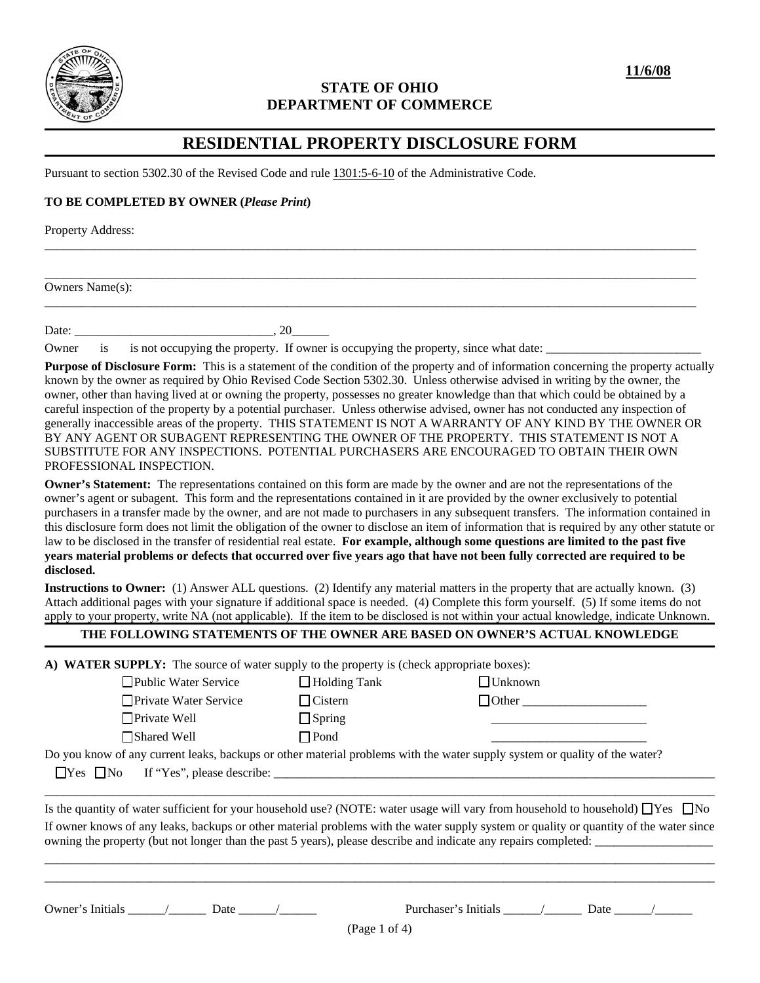

## **STATE OF OHIO DEPARTMENT OF COMMERCE**

# **RESIDENTIAL PROPERTY DISCLOSURE FORM**

\_\_\_\_\_\_\_\_\_\_\_\_\_\_\_\_\_\_\_\_\_\_\_\_\_\_\_\_\_\_\_\_\_\_\_\_\_\_\_\_\_\_\_\_\_\_\_\_\_\_\_\_\_\_\_\_\_\_\_\_\_\_\_\_\_\_\_\_\_\_\_\_\_\_\_\_\_\_\_\_\_\_\_\_\_\_\_\_\_\_\_\_\_\_\_\_\_\_\_\_\_\_\_\_\_

\_\_\_\_\_\_\_\_\_\_\_\_\_\_\_\_\_\_\_\_\_\_\_\_\_\_\_\_\_\_\_\_\_\_\_\_\_\_\_\_\_\_\_\_\_\_\_\_\_\_\_\_\_\_\_\_\_\_\_\_\_\_\_\_\_\_\_\_\_\_\_\_\_\_\_\_\_\_\_\_\_\_\_\_\_\_\_\_\_\_\_\_\_\_\_\_\_\_\_\_\_\_\_\_\_

\_\_\_\_\_\_\_\_\_\_\_\_\_\_\_\_\_\_\_\_\_\_\_\_\_\_\_\_\_\_\_\_\_\_\_\_\_\_\_\_\_\_\_\_\_\_\_\_\_\_\_\_\_\_\_\_\_\_\_\_\_\_\_\_\_\_\_\_\_\_\_\_\_\_\_\_\_\_\_\_\_\_\_\_\_\_\_\_\_\_\_\_\_\_\_\_\_\_\_\_\_\_\_\_\_

Pursuant to section 5302.30 of the Revised Code and rule 1301:5-6-10 of the Administrative Code.

### **TO BE COMPLETED BY OWNER (***Please Print***)**

Property Address:

Owners Name(s):

Date:  $\qquad \qquad \qquad .20$ 

Owner is is not occupying the property. If owner is occupying the property, since what date:

**Purpose of Disclosure Form:** This is a statement of the condition of the property and of information concerning the property actually known by the owner as required by Ohio Revised Code Section 5302.30. Unless otherwise advised in writing by the owner, the owner, other than having lived at or owning the property, possesses no greater knowledge than that which could be obtained by a careful inspection of the property by a potential purchaser. Unless otherwise advised, owner has not conducted any inspection of generally inaccessible areas of the property. THIS STATEMENT IS NOT A WARRANTY OF ANY KIND BY THE OWNER OR BY ANY AGENT OR SUBAGENT REPRESENTING THE OWNER OF THE PROPERTY. THIS STATEMENT IS NOT A SUBSTITUTE FOR ANY INSPECTIONS. POTENTIAL PURCHASERS ARE ENCOURAGED TO OBTAIN THEIR OWN PROFESSIONAL INSPECTION.

**Owner's Statement:** The representations contained on this form are made by the owner and are not the representations of the owner's agent or subagent. This form and the representations contained in it are provided by the owner exclusively to potential purchasers in a transfer made by the owner, and are not made to purchasers in any subsequent transfers. The information contained in this disclosure form does not limit the obligation of the owner to disclose an item of information that is required by any other statute or law to be disclosed in the transfer of residential real estate. **For example, although some questions are limited to the past five years material problems or defects that occurred over five years ago that have not been fully corrected are required to be disclosed.** 

**Instructions to Owner:** (1) Answer ALL questions. (2) Identify any material matters in the property that are actually known. (3) Attach additional pages with your signature if additional space is needed. (4) Complete this form yourself. (5) If some items do not apply to your property, write NA (not applicable). If the item to be disclosed is not within your actual knowledge, indicate Unknown.

## **THE FOLLOWING STATEMENTS OF THE OWNER ARE BASED ON OWNER'S ACTUAL KNOWLEDGE**

**A) WATER SUPPLY:** The source of water supply to the property is (check appropriate boxes):

| $\Box$ Public Water Service                                                                                                | $\Box$ Holding Tank | $\Box$ Unknown |
|----------------------------------------------------------------------------------------------------------------------------|---------------------|----------------|
| □ Private Water Service                                                                                                    | $\Box$ Cistern      | $\Box$ Other   |
| $\Box$ Private Well                                                                                                        | $\Box$ Spring       |                |
| $\Box$ Shared Well                                                                                                         | $\square$ Pond      |                |
| Do you know of any current leaks, backups or other material problems with the water supply system or quality of the water? |                     |                |

 $\Box$  Yes  $\Box$  No If "Yes", please describe:  $\Box$ 

Is the quantity of water sufficient for your household use? (NOTE: water usage will vary from household to household)  $\Box$  Yes  $\Box$  No If owner knows of any leaks, backups or other material problems with the water supply system or quality or quantity of the water since owning the property (but not longer than the past 5 years), please describe and indicate any repairs completed: \_\_\_\_\_\_\_\_\_\_\_\_\_\_\_\_\_\_\_

\_\_\_\_\_\_\_\_\_\_\_\_\_\_\_\_\_\_\_\_\_\_\_\_\_\_\_\_\_\_\_\_\_\_\_\_\_\_\_\_\_\_\_\_\_\_\_\_\_\_\_\_\_\_\_\_\_\_\_\_\_\_\_\_\_\_\_\_\_\_\_\_\_\_\_\_\_\_\_\_\_\_\_\_\_\_\_\_\_\_\_\_\_\_\_\_\_\_\_\_\_\_\_\_\_\_\_\_ \_\_\_\_\_\_\_\_\_\_\_\_\_\_\_\_\_\_\_\_\_\_\_\_\_\_\_\_\_\_\_\_\_\_\_\_\_\_\_\_\_\_\_\_\_\_\_\_\_\_\_\_\_\_\_\_\_\_\_\_\_\_\_\_\_\_\_\_\_\_\_\_\_\_\_\_\_\_\_\_\_\_\_\_\_\_\_\_\_\_\_\_\_\_\_\_\_\_\_\_\_\_\_\_\_\_\_\_

\_\_\_\_\_\_\_\_\_\_\_\_\_\_\_\_\_\_\_\_\_\_\_\_\_\_\_\_\_\_\_\_\_\_\_\_\_\_\_\_\_\_\_\_\_\_\_\_\_\_\_\_\_\_\_\_\_\_\_\_\_\_\_\_\_\_\_\_\_\_\_\_\_\_\_\_\_\_\_\_\_\_\_\_\_\_\_\_\_\_\_\_\_\_\_\_\_\_\_\_\_\_\_\_\_\_\_\_

Owner's Initials  $\qquad$  / Date /

| Purchaser's Initials | Date |
|----------------------|------|
|                      |      |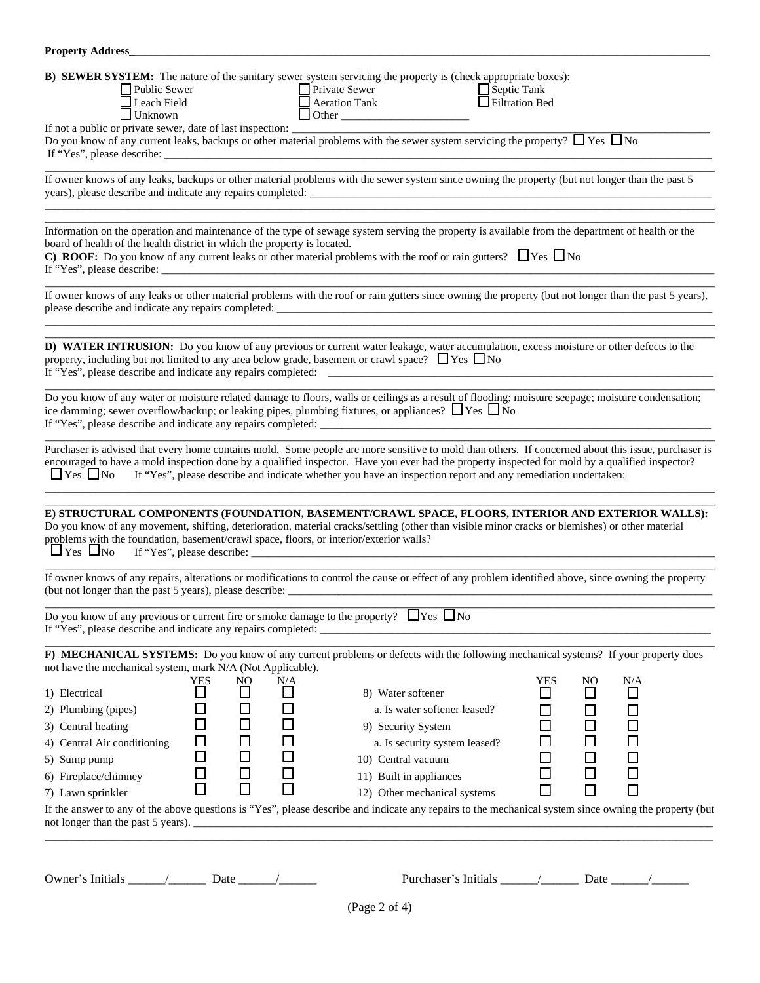| <b>Property Address</b>                                                                                                                                                                                                                                                                                                                                                                                                                                                                                                                                                                                                                                                                                                                                                                                                                                                                                                                                                |  |
|------------------------------------------------------------------------------------------------------------------------------------------------------------------------------------------------------------------------------------------------------------------------------------------------------------------------------------------------------------------------------------------------------------------------------------------------------------------------------------------------------------------------------------------------------------------------------------------------------------------------------------------------------------------------------------------------------------------------------------------------------------------------------------------------------------------------------------------------------------------------------------------------------------------------------------------------------------------------|--|
| B) SEWER SYSTEM: The nature of the sanitary sewer system servicing the property is (check appropriate boxes):<br>Private Sewer<br>Aeration Tank<br>Other<br>$\Box$ Septic Tank<br>$\Box$ Public Sewer<br>Filtration Bed<br>Leach Field<br>$\Box$ Unknown<br>Do you know of any current leaks, backups or other material problems with the sewer system servicing the property? $\Box$ Yes $\Box$ No                                                                                                                                                                                                                                                                                                                                                                                                                                                                                                                                                                    |  |
| If owner knows of any leaks, backups or other material problems with the sewer system since owning the property (but not longer than the past 5                                                                                                                                                                                                                                                                                                                                                                                                                                                                                                                                                                                                                                                                                                                                                                                                                        |  |
| Information on the operation and maintenance of the type of sewage system serving the property is available from the department of health or the<br>board of health of the health district in which the property is located.<br><b>C) ROOF:</b> Do you know of any current leaks or other material problems with the roof or rain gutters? $\Box$ Yes $\Box$ No                                                                                                                                                                                                                                                                                                                                                                                                                                                                                                                                                                                                        |  |
| If owner knows of any leaks or other material problems with the roof or rain gutters since owning the property (but not longer than the past 5 years),                                                                                                                                                                                                                                                                                                                                                                                                                                                                                                                                                                                                                                                                                                                                                                                                                 |  |
| D) WATER INTRUSION: Do you know of any previous or current water leakage, water accumulation, excess moisture or other defects to the<br>property, including but not limited to any area below grade, basement or crawl space? $\Box$ Yes $\Box$ No                                                                                                                                                                                                                                                                                                                                                                                                                                                                                                                                                                                                                                                                                                                    |  |
| Do you know of any water or moisture related damage to floors, walls or ceilings as a result of flooding; moisture seepage; moisture condensation;<br>ice damming; sewer overflow/backup; or leaking pipes, plumbing fixtures, or appliances? $\Box$ Yes $\Box$ No                                                                                                                                                                                                                                                                                                                                                                                                                                                                                                                                                                                                                                                                                                     |  |
| Purchaser is advised that every home contains mold. Some people are more sensitive to mold than others. If concerned about this issue, purchaser is<br>encouraged to have a mold inspection done by a qualified inspector. Have you ever had the property inspected for mold by a qualified inspector?<br>$\Box$ Yes $\Box$ No<br>If "Yes", please describe and indicate whether you have an inspection report and any remediation undertaken:                                                                                                                                                                                                                                                                                                                                                                                                                                                                                                                         |  |
| E) STRUCTURAL COMPONENTS (FOUNDATION, BASEMENT/CRAWL SPACE, FLOORS, INTERIOR AND EXTERIOR WALLS):<br>Do you know of any movement, shifting, deterioration, material cracks/settling (other than visible minor cracks or blemishes) or other material<br>problems with the foundation, basement/crawl space, floors, or interior/exterior walls?<br>$\Box$ Yes $\Box$ No If "Yes", please describe:                                                                                                                                                                                                                                                                                                                                                                                                                                                                                                                                                                     |  |
| If owner knows of any repairs, alterations or modifications to control the cause or effect of any problem identified above, since owning the property                                                                                                                                                                                                                                                                                                                                                                                                                                                                                                                                                                                                                                                                                                                                                                                                                  |  |
| Do you know of any previous or current fire or smoke damage to the property? $\Box$ Yes $\Box$ No                                                                                                                                                                                                                                                                                                                                                                                                                                                                                                                                                                                                                                                                                                                                                                                                                                                                      |  |
| F) MECHANICAL SYSTEMS: Do you know of any current problems or defects with the following mechanical systems? If your property does                                                                                                                                                                                                                                                                                                                                                                                                                                                                                                                                                                                                                                                                                                                                                                                                                                     |  |
| not have the mechanical system, mark N/A (Not Applicable).<br><b>YES</b><br>N <sub>O</sub><br>YES<br>NO<br>N/A<br>N/A<br>□<br>$\Box$<br>$\Box$<br>1) Electrical<br>□<br>□<br>□<br>8) Water softener<br>$\Box$<br>0<br>0<br>0<br>□<br>a. Is water softener leased?<br>口<br>口<br>2) Plumbing (pipes)<br>$\Box$<br>$\Box$<br>$\Box$<br>$\Box$<br>$\Box$<br>3) Central heating<br>9) Security System<br>$\bar{\Xi}$<br>$\Box$<br>$\Box$<br>$\Box$<br>$\Box$<br>4) Central Air conditioning<br>a. Is security system leased?<br>$\Box$<br>$\Box$<br>$\Box$<br>$\Box$<br>$\Box$<br>10) Central vacuum<br>5) Sump pump<br>$\Box$<br>$\Box$<br>$\Box$<br>□<br>6) Fireplace/chimney<br>11) Built in appliances<br>$\Box$<br>$\Box$<br>$\Box$<br>П<br>П<br>$\Box$<br>12) Other mechanical systems<br>7) Lawn sprinkler<br>If the answer to any of the above questions is "Yes", please describe and indicate any repairs to the mechanical system since owning the property (but |  |
|                                                                                                                                                                                                                                                                                                                                                                                                                                                                                                                                                                                                                                                                                                                                                                                                                                                                                                                                                                        |  |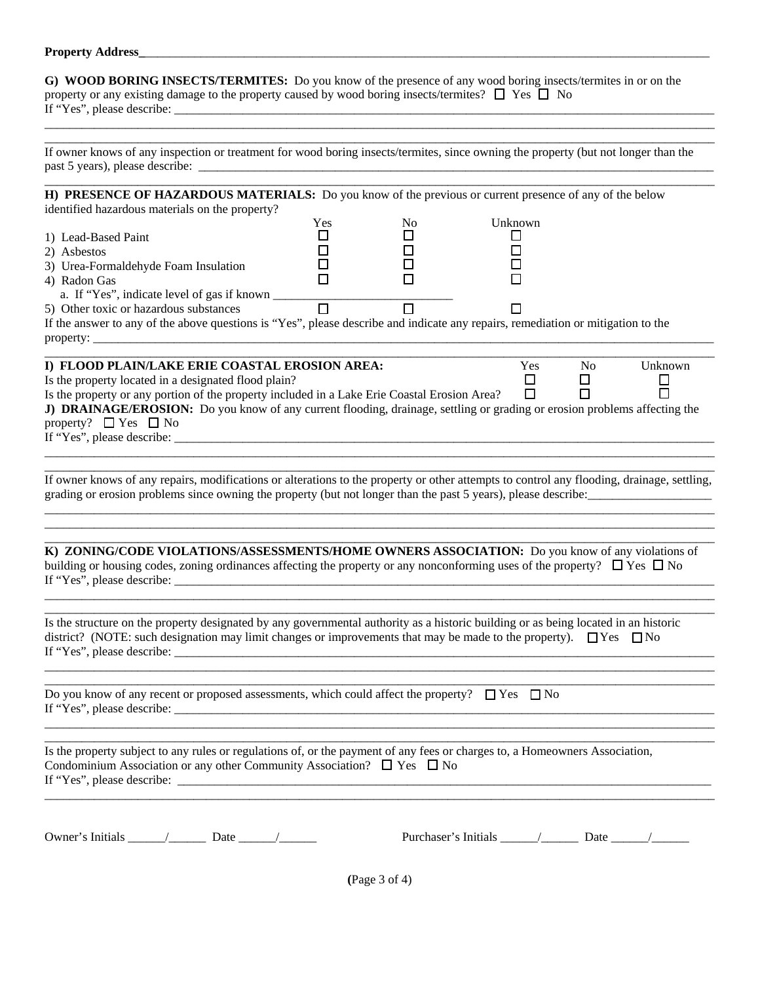#### **Property Address\_**

**G) WOOD BORING INSECTS/TERMITES:** Do you know of the presence of any wood boring insects/termites in or on the property or any existing damage to the property caused by wood boring insects/termites?  $\Box$  Yes  $\Box$  No If "Yes", please describe:

If owner knows of any inspection or treatment for wood boring insects/termites, since owning the property (but not longer than the past 5 years), please describe:

\_\_\_\_\_\_\_\_\_\_\_\_\_\_\_\_\_\_\_\_\_\_\_\_\_\_\_\_\_\_\_\_\_\_\_\_\_\_\_\_\_\_\_\_\_\_\_\_\_\_\_\_\_\_\_\_\_\_\_\_\_\_\_\_\_\_\_\_\_\_\_\_\_\_\_\_\_\_\_\_\_\_\_\_\_\_\_\_\_\_\_\_\_\_\_\_\_\_\_\_\_\_\_\_\_\_\_\_ \_\_\_\_\_\_\_\_\_\_\_\_\_\_\_\_\_\_\_\_\_\_\_\_\_\_\_\_\_\_\_\_\_\_\_\_\_\_\_\_\_\_\_\_\_\_\_\_\_\_\_\_\_\_\_\_\_\_\_\_\_\_\_\_\_\_\_\_\_\_\_\_\_\_\_\_\_\_\_\_\_\_\_\_\_\_\_\_\_\_\_\_\_\_\_\_\_\_\_\_\_\_\_\_\_\_\_\_

| H) PRESENCE OF HAZARDOUS MATERIALS: Do you know of the previous or current presence of any of the below                                    |        |                   |         |    |         |
|--------------------------------------------------------------------------------------------------------------------------------------------|--------|-------------------|---------|----|---------|
| identified hazardous materials on the property?                                                                                            |        |                   |         |    |         |
|                                                                                                                                            | Yes    | No.               | Unknown |    |         |
| 1) Lead-Based Paint                                                                                                                        | ப      |                   | ப       |    |         |
| 2) Asbestos                                                                                                                                | $\Box$ |                   |         |    |         |
| 3) Urea-Formaldehyde Foam Insulation                                                                                                       | □      |                   |         |    |         |
| 4) Radon Gas                                                                                                                               | □      |                   |         |    |         |
| Radion Gas<br>a. If "Yes", indicate level of gas if known $\Box$                                                                           |        |                   |         |    |         |
| 5) Other toxic or hazardous substances                                                                                                     |        | $\overline{\Box}$ |         |    |         |
| If the answer to any of the above questions is "Yes", please describe and indicate any repairs, remediation or mitigation to the           |        |                   |         |    |         |
|                                                                                                                                            |        |                   |         |    |         |
| I) FLOOD PLAIN/LAKE ERIE COASTAL EROSION AREA:                                                                                             |        |                   | Yes     | No | Unknown |
| Is the property located in a designated flood plain?                                                                                       |        |                   | □       | □  | $\Box$  |
| Is the property or any portion of the property included in a Lake Erie Coastal Erosion Area?                                               |        |                   | $\Box$  | П  |         |
| J) DRAINAGE/EROSION: Do you know of any current flooding, drainage, settling or grading or erosion problems affecting the                  |        |                   |         |    |         |
| property? $\Box$ Yes $\Box$ No                                                                                                             |        |                   |         |    |         |
|                                                                                                                                            |        |                   |         |    |         |
|                                                                                                                                            |        |                   |         |    |         |
|                                                                                                                                            |        |                   |         |    |         |
| If owner knows of any repairs, modifications or alterations to the property or other attempts to control any flooding, drainage, settling, |        |                   |         |    |         |
| grading or erosion problems since owning the property (but not longer than the past 5 years), please describe:                             |        |                   |         |    |         |
|                                                                                                                                            |        |                   |         |    |         |
|                                                                                                                                            |        |                   |         |    |         |
|                                                                                                                                            |        |                   |         |    |         |
| K) ZONING/CODE VIOLATIONS/ASSESSMENTS/HOME OWNERS ASSOCIATION: Do you know of any violations of                                            |        |                   |         |    |         |
| building or housing codes, zoning ordinances affecting the property or any nonconforming uses of the property? $\Box$ Yes $\Box$ No        |        |                   |         |    |         |
|                                                                                                                                            |        |                   |         |    |         |
|                                                                                                                                            |        |                   |         |    |         |
| Is the structure on the property designated by any governmental authority as a historic building or as being located in an historic        |        |                   |         |    |         |
| district? (NOTE: such designation may limit changes or improvements that may be made to the property). $\Box$ Yes $\Box$ No                |        |                   |         |    |         |
|                                                                                                                                            |        |                   |         |    |         |
|                                                                                                                                            |        |                   |         |    |         |
|                                                                                                                                            |        |                   |         |    |         |
| Do you know of any recent or proposed assessments, which could affect the property? $\Box$ Yes $\Box$ No                                   |        |                   |         |    |         |
| If "Yes", please describe:                                                                                                                 |        |                   |         |    |         |
|                                                                                                                                            |        |                   |         |    |         |
| Is the property subject to any rules or regulations of, or the payment of any fees or charges to, a Homeowners Association,                |        |                   |         |    |         |
| Condominium Association or any other Community Association? $\Box$ Yes $\Box$ No                                                           |        |                   |         |    |         |
|                                                                                                                                            |        |                   |         |    |         |
|                                                                                                                                            |        |                   |         |    |         |
|                                                                                                                                            |        |                   |         |    |         |
|                                                                                                                                            |        |                   |         |    |         |
|                                                                                                                                            |        |                   |         |    |         |
|                                                                                                                                            |        |                   |         |    |         |